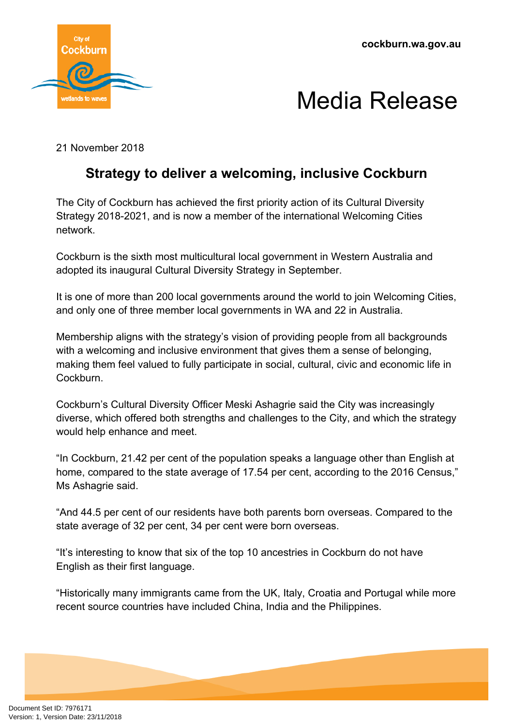

## Media Release

21 November 2018

## **Strategy to deliver a welcoming, inclusive Cockburn**

The City of Cockburn has achieved the first priority action of its Cultural Diversity Strategy 2018-2021, and is now a member of the international Welcoming Cities network.

Cockburn is the sixth most multicultural local government in Western Australia and adopted its inaugural Cultural Diversity Strategy in September.

It is one of more than 200 local governments around the world to join Welcoming Cities, and only one of three member local governments in WA and 22 in Australia.

Membership aligns with the strategy's vision of providing people from all backgrounds with a welcoming and inclusive environment that gives them a sense of belonging, making them feel valued to fully participate in social, cultural, civic and economic life in Cockburn.

Cockburn's Cultural Diversity Officer Meski Ashagrie said the City was increasingly diverse, which offered both strengths and challenges to the City, and which the strategy would help enhance and meet.

"In Cockburn, 21.42 per cent of the population speaks a language other than English at home, compared to the state average of 17.54 per cent, according to the 2016 Census," Ms Ashagrie said.

"And 44.5 per cent of our residents have both parents born overseas. Compared to the state average of 32 per cent, 34 per cent were born overseas.

"It's interesting to know that six of the top 10 ancestries in Cockburn do not have English as their first language.

"Historically many immigrants came from the UK, Italy, Croatia and Portugal while more recent source countries have included China, India and the Philippines.